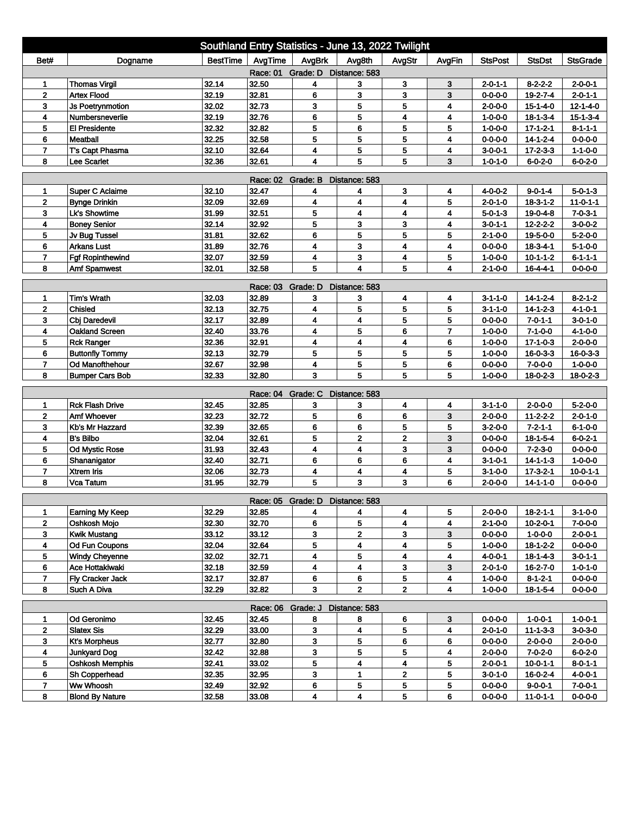| Southland Entry Statistics - June 13, 2022 Twilight |                        |          |                   |                                 |                         |                         |                |                 |                  |                  |  |
|-----------------------------------------------------|------------------------|----------|-------------------|---------------------------------|-------------------------|-------------------------|----------------|-----------------|------------------|------------------|--|
| Bet#                                                | Dogname                | BestTime | AvgTime           | AvgBrk                          | Avg8th                  | AvgStr                  | AvgFin         | <b>StsPost</b>  | <b>StsDst</b>    | <b>StsGrade</b>  |  |
| Race: 01 Grade: D Distance: 583                     |                        |          |                   |                                 |                         |                         |                |                 |                  |                  |  |
| 1                                                   | <b>Thomas Virgil</b>   | 32.14    | 32.50             | 4                               | 3                       | 3                       | 3              | $2 - 0 - 1 - 1$ | $8 - 2 - 2 - 2$  | $2 - 0 - 0 - 1$  |  |
| $\mathbf{2}$                                        | <b>Artex Flood</b>     | 32.19    | 32.81             | 6                               | 3                       | 3                       | 3              | $0 - 0 - 0 - 0$ | 19-2-7-4         | $2 - 0 - 1 - 1$  |  |
| 3                                                   | Js Poetrynmotion       | 32.02    | 32.73             | 3                               | 5                       | 5                       | 4              | $2 - 0 - 0 - 0$ | 15-1-4-0         | $12 - 1 - 4 - 0$ |  |
| 4                                                   | Numbersneverlie        | 32.19    | 32.76             | 6                               | 5                       | 4                       | 4              | $1 - 0 - 0 - 0$ | $18 - 1 - 3 - 4$ | $15 - 1 - 3 - 4$ |  |
| 5                                                   | <b>El Presidente</b>   | 32.32    | 32.82             | 5                               | 6                       | 5                       | 5              | $1 - 0 - 0 - 0$ | $17 - 1 - 2 - 1$ | $8 - 1 - 1 - 1$  |  |
| 6                                                   | <b>Meatball</b>        | 32.25    | 32.58             | 5                               | 5                       | 5                       | 4              | $0 - 0 - 0 - 0$ | $14 - 1 - 2 - 4$ | $0 - 0 - 0 - 0$  |  |
| $\overline{7}$                                      | T's Capt Phasma        | 32.10    | 32.64             | 4                               | 5                       | 5                       | 4              | $3 - 0 - 0 - 1$ | $17 - 2 - 3 - 3$ | $1 - 1 - 0 - 0$  |  |
| 8                                                   | <b>Lee Scarlet</b>     | 32.36    | 32.61             | 4                               | 5                       | 5                       | 3              | $1 - 0 - 1 - 0$ | $6 - 0 - 2 - 0$  | $6 - 0 - 2 - 0$  |  |
| <b>Race: 02</b><br>Grade: B<br>Distance: 583        |                        |          |                   |                                 |                         |                         |                |                 |                  |                  |  |
| 1                                                   | <b>Super C Aclaime</b> | 32.10    | 32.47             | 4                               | 4                       | 3                       | 4              | 4-0-0-2         | $9 - 0 - 1 - 4$  | $5 - 0 - 1 - 3$  |  |
| $\mathbf 2$                                         | <b>Bynge Drinkin</b>   | 32.09    | 32.69             | 4                               | 4                       | 4                       | 5              | $2 - 0 - 1 - 0$ | $18 - 3 - 1 - 2$ | $11 - 0 - 1 - 1$ |  |
| 3                                                   | Lk's Showtime          | 31.99    | 32.51             | 5                               | 4                       | 4                       | 4              | $5 - 0 - 1 - 3$ | 19-0-4-8         | $7 - 0 - 3 - 1$  |  |
| 4                                                   | <b>Boney Senior</b>    | 32.14    | 32.92             | 5                               | 3                       | 3                       | 4              | 3-0-1-1         | $12 - 2 - 2 - 2$ | $3-0-0-2$        |  |
| 5                                                   | Jv Bug Tussel          | 31.81    | 32.62             | 6                               | 5                       | 5                       | 5              | $2 - 1 - 0 - 0$ | 19-5-0-0         | $5 - 2 - 0 - 0$  |  |
| 6                                                   | <b>Arkans Lust</b>     | 31.89    | 32.76             | 4                               | 3                       | 4                       | 4              | $0 - 0 - 0 - 0$ | $18 - 3 - 4 - 1$ | $5 - 1 - 0 - 0$  |  |
| $\overline{7}$                                      | Fgf Ropinthewind       | 32.07    | 32.59             | 4                               | 3                       | 4                       | 5              | $1 - 0 - 0 - 0$ | $10 - 1 - 1 - 2$ | $6 - 1 - 1 - 1$  |  |
| 8                                                   | <b>Amf Spamwest</b>    | 32.01    | 32.58             | 5                               | $\overline{\mathbf{4}}$ | 5                       | 4              | $2 - 1 - 0 - 0$ | $16 - 4 - 4 - 1$ | $0 - 0 - 0 - 0$  |  |
| Race: 03 Grade: D<br>Distance: 583                  |                        |          |                   |                                 |                         |                         |                |                 |                  |                  |  |
| 1                                                   | <b>Tim's Wrath</b>     | 32.03    | 32.89             | 3                               | 3                       | 4                       | 4              | $3 - 1 - 1 - 0$ | $14 - 1 - 2 - 4$ | $8 - 2 - 1 - 2$  |  |
| $\mathbf 2$                                         | Chisled                | 32.13    | 32.75             | 4                               | 5                       | 5                       | 5              | $3 - 1 - 1 - 0$ | $14 - 1 - 2 - 3$ | $4 - 1 - 0 - 1$  |  |
| 3                                                   | Cbj Daredevil          | 32.17    | 32.89             | 4                               | 4                       | 5                       | 5              | $0 - 0 - 0 - 0$ | $7 - 0 - 1 - 1$  | $3 - 0 - 1 - 0$  |  |
| 4                                                   | <b>Oakland Screen</b>  | 32.40    | 33.76             | 4                               | 5                       | 6                       | $\overline{7}$ | $1 - 0 - 0 - 0$ | $7 - 1 - 0 - 0$  | $4 - 1 - 0 - 0$  |  |
| 5                                                   | <b>Rck Ranger</b>      | 32.36    | 32.91             | 4                               | 4                       | 4                       | 6              | $1 - 0 - 0 - 0$ | $17 - 1 - 0 - 3$ | $2 - 0 - 0 - 0$  |  |
| 6                                                   | <b>Buttonfly Tommy</b> | 32.13    | 32.79             | 5                               | 5                       | 5                       | 5              | $1 - 0 - 0 - 0$ | $16 - 0 - 3 - 3$ | $16 - 0 - 3 - 3$ |  |
| 7                                                   | <b>Od Manofthehour</b> | 32.67    | 32.98             | 4                               | 5                       | 5                       | 6              | $0 - 0 - 0 - 0$ | $7 - 0 - 0 - 0$  | $1 - 0 - 0 - 0$  |  |
| 8                                                   | <b>Bumper Cars Bob</b> | 32.33    | 32.80             | 3                               | 5                       | 5                       | 5              | $1 - 0 - 0 - 0$ | $18 - 0 - 2 - 3$ | $18 - 0 - 2 - 3$ |  |
|                                                     |                        |          | Race: 04 Grade: C |                                 | Distance: 583           |                         |                |                 |                  |                  |  |
| 1                                                   | <b>Rck Flash Drive</b> | 32.45    | 32.85             | 3                               | 3                       | 4                       | 4              | $3 - 1 - 1 - 0$ | $2 - 0 - 0 - 0$  | $5 - 2 - 0 - 0$  |  |
| $\mathbf{2}$                                        | Amf Whoever            | 32.23    | 32.72             | 5                               | 6                       | 6                       | 3              | $2 - 0 - 0 - 0$ | $11 - 2 - 2 - 2$ | $2 - 0 - 1 - 0$  |  |
| 3                                                   | Kb's Mr Hazzard        | 32.39    | 32.65             | 6                               | 6                       | 5                       | 5              | $3 - 2 - 0 - 0$ | $7 - 2 - 1 - 1$  | $6 - 1 - 0 - 0$  |  |
| 4                                                   | <b>B's Bilbo</b>       | 32.04    | 32.61             | 5                               | $\mathbf{2}$            | 2                       | 3              | $0 - 0 - 0 - 0$ | $18 - 1 - 5 - 4$ | $6 - 0 - 2 - 1$  |  |
| 5                                                   | Od Mystic Rose         | 31.93    | 32.43             | 4                               | 4                       | 3                       | 3              | $0 - 0 - 0 - 0$ | $7 - 2 - 3 - 0$  | $0 - 0 - 0 - 0$  |  |
| 6                                                   | Shananigator           | 32.40    | 32.71             | 6                               | 6                       | 6                       | 4              | $3 - 1 - 0 - 1$ | $14 - 1 - 1 - 3$ | $1 - 0 - 0 - 0$  |  |
| $\overline{7}$                                      | <b>Xtrem Iris</b>      | 32.06    | 32.73             | 4                               | 4                       | 4                       | 5              | $3 - 1 - 0 - 0$ | $17 - 3 - 2 - 1$ | $10 - 0 - 1 - 1$ |  |
| 8                                                   | Vca Tatum              | 31.95    | 32.79             | 5                               | 3                       | 3                       | 6              | 2-0-0-0         | $14 - 1 - 1 - 0$ | 0-0-0-0          |  |
|                                                     |                        |          |                   |                                 |                         |                         |                |                 |                  |                  |  |
|                                                     |                        |          |                   | Race: 05 Grade: D Distance: 583 |                         |                         |                |                 |                  |                  |  |
| 1                                                   | Earning My Keep        | 32.29    | 32.85             | 4                               | 4                       | 4                       | 5              | $2 - 0 - 0 - 0$ | $18 - 2 - 1 - 1$ | $3-1-0-0$        |  |
| $\mathbf{2}$                                        | Oshkosh Mojo           | 32.30    | 32.70             | 6                               | 5                       | 4                       | 4              | $2 - 1 - 0 - 0$ | $10 - 2 - 0 - 1$ | $7 - 0 - 0 - 0$  |  |
| 3                                                   | Kwik Mustang           | 33.12    | 33.12             | 3                               | 2                       | 3                       | 3              | $0 - 0 - 0 - 0$ | $1 - 0 - 0 - 0$  | 2-0-0-1          |  |
| 4                                                   | <b>Od Fun Coupons</b>  | 32.04    | 32.64             | 5                               | 4                       | 4                       | 5              | $1 - 0 - 0 - 0$ | $18 - 1 - 2 - 2$ | $0 - 0 - 0 - 0$  |  |
| 5                                                   | <b>Windy Cheyenne</b>  | 32.02    | 32.71             | 4                               | 5                       | 4                       | 4              | 4-0-0-1         | 18-1-4-3         | $3 - 0 - 1 - 1$  |  |
| 6<br>$\overline{7}$                                 | Ace Hottakiwaki        | 32.18    | 32.59             | 4                               | 4                       | 3<br>5                  | 3              | $2 - 0 - 1 - 0$ | 16-2-7-0         | $1 - 0 - 1 - 0$  |  |
| 8                                                   | Fly Cracker Jack       | 32.17    | 32.87             | 6<br>3                          | 6<br>$\mathbf{2}$       | $\overline{\mathbf{2}}$ | 4<br>4         | $1 - 0 - 0 - 0$ | $8 - 1 - 2 - 1$  | $0 - 0 - 0 - 0$  |  |
|                                                     | Such A Diva            | 32.29    | 32.82             |                                 |                         |                         |                | $1 - 0 - 0 - 0$ | $18 - 1 - 5 - 4$ | $0 - 0 - 0 - 0$  |  |
| Race: 06 Grade: J<br>Distance: 583                  |                        |          |                   |                                 |                         |                         |                |                 |                  |                  |  |
| 1                                                   | Od Geronimo            | 32.45    | 32.45             | 8                               | 8                       | 6                       | 3              | $0 - 0 - 0 - 0$ | $1 - 0 - 0 - 1$  | $1 - 0 - 0 - 1$  |  |
| $\mathbf 2$                                         | <b>Slatex Sis</b>      | 32.29    | 33.00             | 3                               | 4                       | 5                       | 4              | $2 - 0 - 1 - 0$ | $11 - 1 - 3 - 3$ | $3 - 0 - 3 - 0$  |  |
| 3                                                   | <b>Kt's Morpheus</b>   | 32.77    | 32.80             | 3                               | 5                       | 6                       | 6              | $0 - 0 - 0 - 0$ | $2 - 0 - 0 - 0$  | $2 - 0 - 0 - 0$  |  |
| 4                                                   | <b>Junkyard Dog</b>    | 32.42    | 32.88             | 3                               | 5                       | 5                       | 4              | $2 - 0 - 0 - 0$ | $7 - 0 - 2 - 0$  | $6 - 0 - 2 - 0$  |  |
| 5                                                   | <b>Oshkosh Memphis</b> | 32.41    | 33.02             | 5                               | 4                       | 4                       | 5              | $2 - 0 - 0 - 1$ | $10 - 0 - 1 - 1$ | $8 - 0 - 1 - 1$  |  |
| 6                                                   | Sh Copperhead          | 32.35    | 32.95             | 3                               | 1                       | $\mathbf{2}$            | 5              | $3 - 0 - 1 - 0$ | 16-0-2-4         | 4-0-0-1          |  |
| 7                                                   | Ww Whoosh              | 32.49    | 32.92             | 6                               | 5                       | 5                       | 5              | $0 - 0 - 0 - 0$ | $9 - 0 - 0 - 1$  | 7-0-0-1          |  |
| 8                                                   | <b>Blond By Nature</b> | 32.58    | 33.08             | 4                               | 4                       | 5                       | 6              | $0 - 0 - 0 - 0$ | $11 - 0 - 1 - 1$ | $0 - 0 - 0 - 0$  |  |